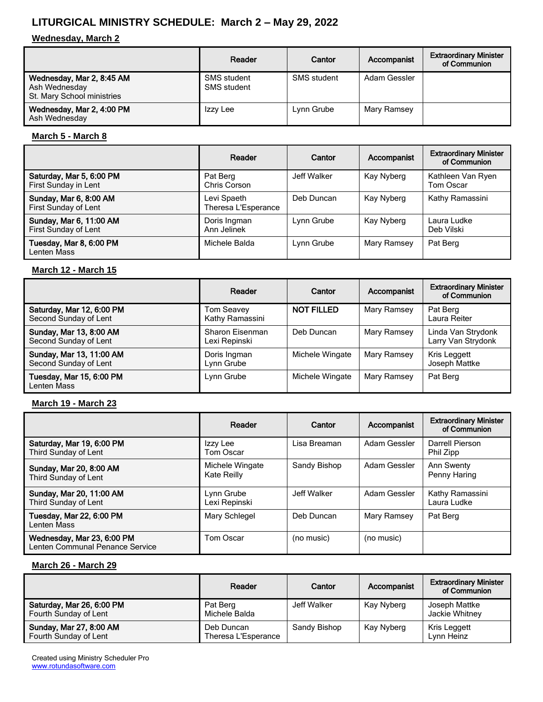# **LITURGICAL MINISTRY SCHEDULE: March 2 – May 29, 2022**

#### **Wednesday, March 2**

|                                                                          | Reader                            | Cantor      | Accompanist  | <b>Extraordinary Minister</b><br>of Communion |
|--------------------------------------------------------------------------|-----------------------------------|-------------|--------------|-----------------------------------------------|
| Wednesday, Mar 2, 8:45 AM<br>Ash Wednesday<br>St. Mary School ministries | SMS student<br><b>SMS</b> student | SMS student | Adam Gessler |                                               |
| Wednesday, Mar 2, 4:00 PM<br>Ash Wednesday                               | Izzy Lee                          | Lynn Grube  | Mary Ramsey  |                                               |

#### **March 5 - March 8**

|                                                  | Reader                             | Cantor      | Accompanist | <b>Extraordinary Minister</b><br>of Communion |
|--------------------------------------------------|------------------------------------|-------------|-------------|-----------------------------------------------|
| Saturday, Mar 5, 6:00 PM<br>First Sunday in Lent | Pat Berg<br>Chris Corson           | Jeff Walker | Kay Nyberg  | Kathleen Van Ryen<br>Tom Oscar                |
| Sunday, Mar 6, 8:00 AM<br>First Sunday of Lent   | Levi Spaeth<br>Theresa L'Esperance | Deb Duncan  | Kay Nyberg  | Kathy Ramassini                               |
| Sunday, Mar 6, 11:00 AM<br>First Sunday of Lent  | Doris Ingman<br>Ann Jelinek        | Lynn Grube  | Kay Nyberg  | Laura Ludke<br>Deb Vilski                     |
| Tuesday, Mar 8, 6:00 PM<br>Lenten Mass           | Michele Balda                      | Lynn Grube  | Mary Ramsey | Pat Berg                                      |

#### **March 12 - March 15**

|                                                    | Reader                           | Cantor            | Accompanist | <b>Extraordinary Minister</b><br>of Communion |
|----------------------------------------------------|----------------------------------|-------------------|-------------|-----------------------------------------------|
| Saturday, Mar 12, 6:00 PM<br>Second Sunday of Lent | Tom Seavey<br>Kathy Ramassini    | <b>NOT FILLED</b> | Mary Ramsey | Pat Berg<br>Laura Reiter                      |
| Sunday, Mar 13, 8:00 AM<br>Second Sunday of Lent   | Sharon Eisenman<br>Lexi Repinski | Deb Duncan        | Mary Ramsey | Linda Van Strydonk<br>Larry Van Strydonk      |
| Sunday, Mar 13, 11:00 AM<br>Second Sunday of Lent  | Doris Ingman<br>Lynn Grube       | Michele Wingate   | Mary Ramsey | Kris Leggett<br>Joseph Mattke                 |
| Tuesday, Mar 15, 6:00 PM<br>Lenten Mass            | Lynn Grube                       | Michele Wingate   | Mary Ramsey | Pat Berg                                      |

#### **March 19 - March 23**

|                                                               | Reader                         | Cantor       | Accompanist  | <b>Extraordinary Minister</b><br>of Communion |
|---------------------------------------------------------------|--------------------------------|--------------|--------------|-----------------------------------------------|
| Saturday, Mar 19, 6:00 PM<br>Third Sunday of Lent             | Izzy Lee<br>Tom Oscar          | Lisa Breaman | Adam Gessler | Darrell Pierson<br>Phil Zipp                  |
| Sunday, Mar 20, 8:00 AM<br>Third Sunday of Lent               | Michele Wingate<br>Kate Reilly | Sandy Bishop | Adam Gessler | <b>Ann Swenty</b><br>Penny Haring             |
| Sunday, Mar 20, 11:00 AM<br>Third Sunday of Lent              | Lynn Grube<br>Lexi Repinski    | Jeff Walker  | Adam Gessler | Kathy Ramassini<br>Laura Ludke                |
| Tuesday, Mar 22, 6:00 PM<br>Lenten Mass                       | Mary Schlegel                  | Deb Duncan   | Mary Ramsey  | Pat Berg                                      |
| Wednesday, Mar 23, 6:00 PM<br>Lenten Communal Penance Service | Tom Oscar                      | (no music)   | (no music)   |                                               |

### **March 26 - March 29**

|                                                    | Reader                            | Cantor       | Accompanist | <b>Extraordinary Minister</b><br>of Communion |
|----------------------------------------------------|-----------------------------------|--------------|-------------|-----------------------------------------------|
| Saturday, Mar 26, 6:00 PM<br>Fourth Sunday of Lent | Pat Berg<br>Michele Balda         | Jeff Walker  | Kay Nyberg  | Joseph Mattke<br>Jackie Whitnev               |
| Sunday, Mar 27, 8:00 AM<br>Fourth Sunday of Lent   | Deb Duncan<br>Theresa L'Esperance | Sandy Bishop | Kay Nyberg  | Kris Leggett<br>Lvnn Heinz                    |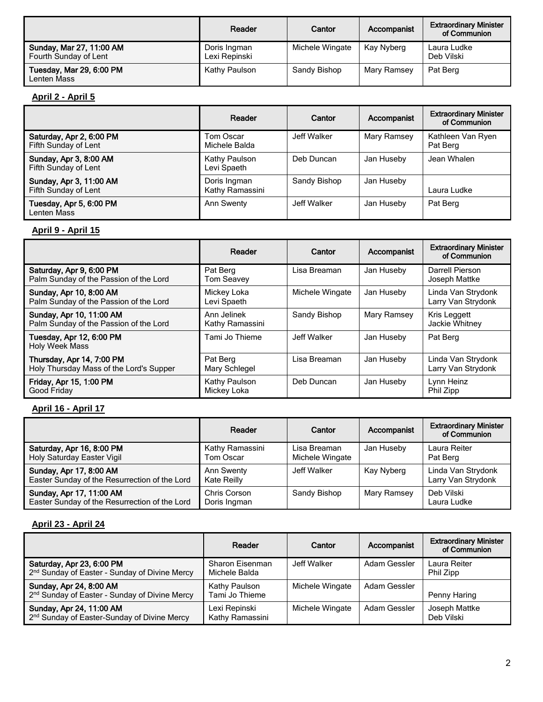|                                                   | Reader                        | Cantor          | Accompanist | <b>Extraordinary Minister</b><br>of Communion |
|---------------------------------------------------|-------------------------------|-----------------|-------------|-----------------------------------------------|
| Sunday, Mar 27, 11:00 AM<br>Fourth Sunday of Lent | Doris Ingman<br>Lexi Repinski | Michele Wingate | Kay Nyberg  | Laura Ludke<br>Deb Vilski                     |
| Tuesday, Mar 29, 6:00 PM<br>Lenten Mass           | Kathy Paulson                 | Sandy Bishop    | Mary Ramsey | Pat Berg                                      |

### **April 2 - April 5**

|                                                  | Reader                          | Cantor       | Accompanist | <b>Extraordinary Minister</b><br>of Communion |
|--------------------------------------------------|---------------------------------|--------------|-------------|-----------------------------------------------|
| Saturday, Apr 2, 6:00 PM<br>Fifth Sunday of Lent | Tom Oscar<br>Michele Balda      | Jeff Walker  | Mary Ramsey | Kathleen Van Ryen<br>Pat Berg                 |
| Sunday, Apr 3, 8:00 AM<br>Fifth Sunday of Lent   | Kathy Paulson<br>Levi Spaeth    | Deb Duncan   | Jan Huseby  | Jean Whalen                                   |
| Sunday, Apr 3, 11:00 AM<br>Fifth Sunday of Lent  | Doris Ingman<br>Kathy Ramassini | Sandy Bishop | Jan Huseby  | Laura Ludke                                   |
| Tuesday, Apr 5, 6:00 PM<br>Lenten Mass           | Ann Swenty                      | Jeff Walker  | Jan Huseby  | Pat Berg                                      |

# **April 9 - April 15**

|                                                                      | Reader                         | Cantor          | Accompanist | <b>Extraordinary Minister</b><br>of Communion |
|----------------------------------------------------------------------|--------------------------------|-----------------|-------------|-----------------------------------------------|
| Saturday, Apr 9, 6:00 PM<br>Palm Sunday of the Passion of the Lord   | Pat Berg<br><b>Tom Seavey</b>  | Lisa Breaman    | Jan Huseby  | Darrell Pierson<br>Joseph Mattke              |
| Sunday, Apr 10, 8:00 AM<br>Palm Sunday of the Passion of the Lord    | Mickey Loka<br>Levi Spaeth     | Michele Wingate | Jan Huseby  | Linda Van Strydonk<br>Larry Van Strydonk      |
| Sunday, Apr 10, 11:00 AM<br>Palm Sunday of the Passion of the Lord   | Ann Jelinek<br>Kathy Ramassini | Sandy Bishop    | Mary Ramsey | Kris Leggett<br>Jackie Whitney                |
| Tuesday, Apr 12, 6:00 PM<br>Holy Week Mass                           | Tami Jo Thieme                 | Jeff Walker     | Jan Huseby  | Pat Berg                                      |
| Thursday, Apr 14, 7:00 PM<br>Holy Thursday Mass of the Lord's Supper | Pat Berg<br>Mary Schlegel      | Lisa Breaman    | Jan Huseby  | Linda Van Strydonk<br>Larry Van Strydonk      |
| Friday, Apr 15, 1:00 PM<br>Good Friday                               | Kathy Paulson<br>Mickey Loka   | Deb Duncan      | Jan Huseby  | Lynn Heinz<br>Phil Zipp                       |

### **April 16 - April 17**

|                                                                           | Reader                           | Cantor                          | Accompanist | <b>Extraordinary Minister</b><br>of Communion |
|---------------------------------------------------------------------------|----------------------------------|---------------------------------|-------------|-----------------------------------------------|
| Saturday, Apr 16, 8:00 PM<br>Holy Saturday Easter Vigil                   | Kathy Ramassini<br>Tom Oscar     | Lisa Breaman<br>Michele Wingate | Jan Huseby  | Laura Reiter<br>Pat Berg                      |
| Sunday, Apr 17, 8:00 AM<br>Easter Sunday of the Resurrection of the Lord  | <b>Ann Swenty</b><br>Kate Reilly | Jeff Walker                     | Kay Nyberg  | Linda Van Strydonk<br>Larry Van Strydonk      |
| Sunday, Apr 17, 11:00 AM<br>Easter Sunday of the Resurrection of the Lord | Chris Corson<br>Doris Ingman     | Sandy Bishop                    | Mary Ramsey | Deb Vilski<br>Laura Ludke                     |

### **April 23 - April 24**

|                                                                                        | Reader                           | Cantor          | Accompanist  | <b>Extraordinary Minister</b><br>of Communion |
|----------------------------------------------------------------------------------------|----------------------------------|-----------------|--------------|-----------------------------------------------|
| Saturday, Apr 23, 6:00 PM<br>2 <sup>nd</sup> Sunday of Easter - Sunday of Divine Mercy | Sharon Eisenman<br>Michele Balda | Jeff Walker     | Adam Gessler | Laura Reiter<br>Phil Zipp                     |
| Sunday, Apr 24, 8:00 AM<br>2 <sup>nd</sup> Sunday of Easter - Sunday of Divine Mercy   | Kathy Paulson<br>Tami Jo Thieme  | Michele Wingate | Adam Gessler | Penny Haring                                  |
| Sunday, Apr 24, 11:00 AM<br>2 <sup>nd</sup> Sunday of Easter-Sunday of Divine Mercy    | Lexi Repinski<br>Kathy Ramassini | Michele Wingate | Adam Gessler | Joseph Mattke<br>Deb Vilski                   |